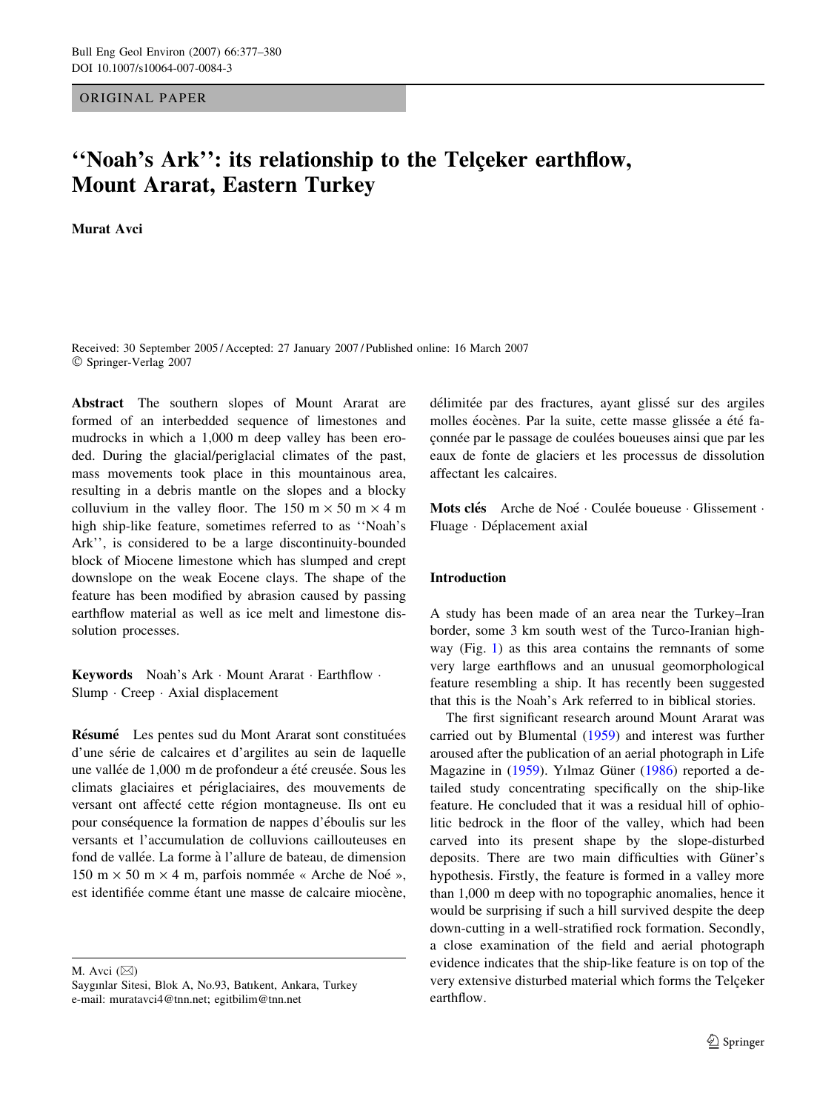ORIGINAL PAPER

# "Noah's Ark": its relationship to the Telçeker earthflow, Mount Ararat, Eastern Turkey

Murat Avci

Received: 30 September 2005 / Accepted: 27 January 2007 / Published online: 16 March 2007 Springer-Verlag 2007

Abstract The southern slopes of Mount Ararat are formed of an interbedded sequence of limestones and mudrocks in which a 1,000 m deep valley has been eroded. During the glacial/periglacial climates of the past, mass movements took place in this mountainous area, resulting in a debris mantle on the slopes and a blocky colluvium in the valley floor. The 150 m  $\times$  50 m  $\times$  4 m high ship-like feature, sometimes referred to as ''Noah's Ark'', is considered to be a large discontinuity-bounded block of Miocene limestone which has slumped and crept downslope on the weak Eocene clays. The shape of the feature has been modified by abrasion caused by passing earthflow material as well as ice melt and limestone dissolution processes.

Keywords Noah's Ark · Mount Ararat · Earthflow · Slump · Creep · Axial displacement

Résumé Les pentes sud du Mont Ararat sont constituées d'une série de calcaires et d'argilites au sein de laquelle une vallée de 1,000 m de profondeur a été creusée. Sous les climats glaciaires et périglaciaires, des mouvements de versant ont affecté cette région montagneuse. Ils ont eu pour conséquence la formation de nappes d'éboulis sur les versants et l'accumulation de colluvions caillouteuses en fond de vallée. La forme à l'allure de bateau, de dimension 150 m  $\times$  50 m  $\times$  4 m, parfois nommée « Arche de Noé », est identifiée comme étant une masse de calcaire miocène,

M. Avci  $(\boxtimes)$ 

délimitée par des fractures, ayant glissé sur des argiles molles éocènes. Par la suite, cette masse glissée a été faconnée par le passage de coulées boueuses ainsi que par les eaux de fonte de glaciers et les processus de dissolution affectant les calcaires.

Mots clés Arche de Noé · Coulée boueuse · Glissement · Fluage · Déplacement axial

### Introduction

A study has been made of an area near the Turkey–Iran border, some 3 km south west of the Turco-Iranian highway (Fig. [1\)](#page-1-0) as this area contains the remnants of some very large earthflows and an unusual geomorphological feature resembling a ship. It has recently been suggested that this is the Noah's Ark referred to in biblical stories.

The first significant research around Mount Ararat was carried out by Blumental [\(1959](#page-3-0)) and interest was further aroused after the publication of an aerial photograph in Life Magazine in [\(1959](#page-3-0)). Yılmaz Güner [\(1986](#page-3-0)) reported a detailed study concentrating specifically on the ship-like feature. He concluded that it was a residual hill of ophiolitic bedrock in the floor of the valley, which had been carved into its present shape by the slope-disturbed deposits. There are two main difficulties with Güner's hypothesis. Firstly, the feature is formed in a valley more than 1,000 m deep with no topographic anomalies, hence it would be surprising if such a hill survived despite the deep down-cutting in a well-stratified rock formation. Secondly, a close examination of the field and aerial photograph evidence indicates that the ship-like feature is on top of the very extensive disturbed material which forms the Telçeker earthflow.

Saygınlar Sitesi, Blok A, No.93, Batıkent, Ankara, Turkey e-mail: muratavci4@tnn.net; egitbilim@tnn.net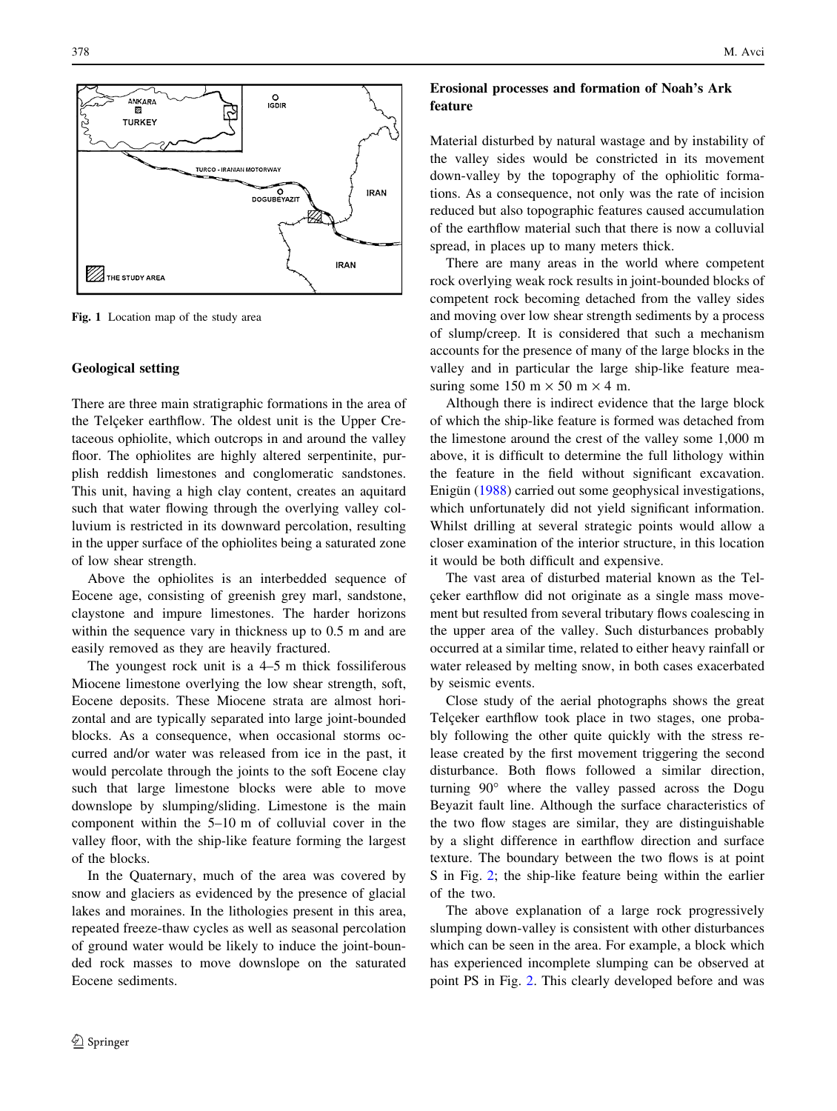<span id="page-1-0"></span>

Fig. 1 Location map of the study area

#### Geological setting

There are three main stratigraphic formations in the area of the Telçeker earthflow. The oldest unit is the Upper Cretaceous ophiolite, which outcrops in and around the valley floor. The ophiolites are highly altered serpentinite, purplish reddish limestones and conglomeratic sandstones. This unit, having a high clay content, creates an aquitard such that water flowing through the overlying valley colluvium is restricted in its downward percolation, resulting in the upper surface of the ophiolites being a saturated zone of low shear strength.

Above the ophiolites is an interbedded sequence of Eocene age, consisting of greenish grey marl, sandstone, claystone and impure limestones. The harder horizons within the sequence vary in thickness up to  $0.5$  m and are easily removed as they are heavily fractured.

The youngest rock unit is a 4–5 m thick fossiliferous Miocene limestone overlying the low shear strength, soft, Eocene deposits. These Miocene strata are almost horizontal and are typically separated into large joint-bounded blocks. As a consequence, when occasional storms occurred and/or water was released from ice in the past, it would percolate through the joints to the soft Eocene clay such that large limestone blocks were able to move downslope by slumping/sliding. Limestone is the main component within the 5–10 m of colluvial cover in the valley floor, with the ship-like feature forming the largest of the blocks.

In the Quaternary, much of the area was covered by snow and glaciers as evidenced by the presence of glacial lakes and moraines. In the lithologies present in this area, repeated freeze-thaw cycles as well as seasonal percolation of ground water would be likely to induce the joint-bounded rock masses to move downslope on the saturated Eocene sediments.

# Erosional processes and formation of Noah's Ark feature

Material disturbed by natural wastage and by instability of the valley sides would be constricted in its movement down-valley by the topography of the ophiolitic formations. As a consequence, not only was the rate of incision reduced but also topographic features caused accumulation of the earthflow material such that there is now a colluvial spread, in places up to many meters thick.

There are many areas in the world where competent rock overlying weak rock results in joint-bounded blocks of competent rock becoming detached from the valley sides and moving over low shear strength sediments by a process of slump/creep. It is considered that such a mechanism accounts for the presence of many of the large blocks in the valley and in particular the large ship-like feature measuring some 150 m  $\times$  50 m  $\times$  4 m.

Although there is indirect evidence that the large block of which the ship-like feature is formed was detached from the limestone around the crest of the valley some 1,000 m above, it is difficult to determine the full lithology within the feature in the field without significant excavation. Enigun ([1988\)](#page-3-0) carried out some geophysical investigations, which unfortunately did not yield significant information. Whilst drilling at several strategic points would allow a closer examination of the interior structure, in this location it would be both difficult and expensive.

The vast area of disturbed material known as the Telceker earthflow did not originate as a single mass movement but resulted from several tributary flows coalescing in the upper area of the valley. Such disturbances probably occurred at a similar time, related to either heavy rainfall or water released by melting snow, in both cases exacerbated by seismic events.

Close study of the aerial photographs shows the great Telçeker earthflow took place in two stages, one probably following the other quite quickly with the stress release created by the first movement triggering the second disturbance. Both flows followed a similar direction, turning 90° where the valley passed across the Dogu Beyazit fault line. Although the surface characteristics of the two flow stages are similar, they are distinguishable by a slight difference in earthflow direction and surface texture. The boundary between the two flows is at point S in Fig. [2;](#page-2-0) the ship-like feature being within the earlier of the two.

The above explanation of a large rock progressively slumping down-valley is consistent with other disturbances which can be seen in the area. For example, a block which has experienced incomplete slumping can be observed at point PS in Fig. [2.](#page-2-0) This clearly developed before and was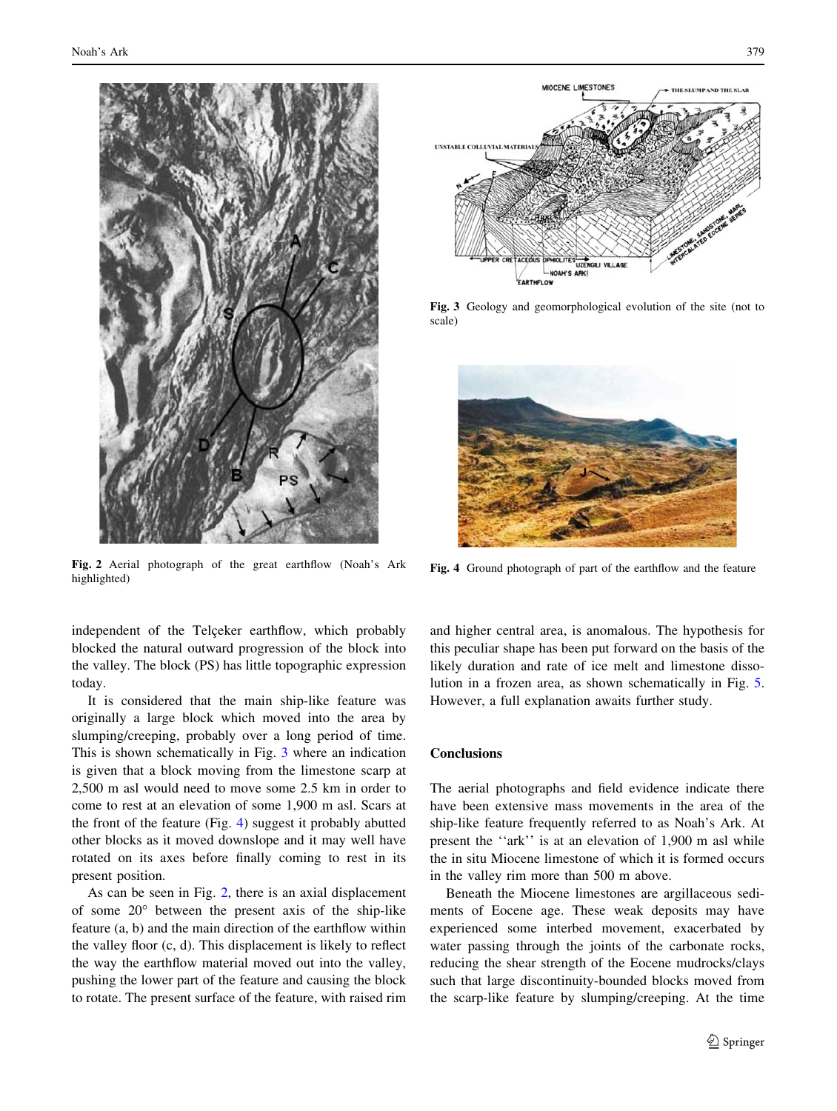<span id="page-2-0"></span>

Fig. 2 Aerial photograph of the great earthflow (Noah's Ark highlighted)

independent of the Telçeker earthflow, which probably blocked the natural outward progression of the block into the valley. The block (PS) has little topographic expression today.

It is considered that the main ship-like feature was originally a large block which moved into the area by slumping/creeping, probably over a long period of time. This is shown schematically in Fig. 3 where an indication is given that a block moving from the limestone scarp at 2,500 m asl would need to move some 2.5 km in order to come to rest at an elevation of some 1,900 m asl. Scars at the front of the feature (Fig. 4) suggest it probably abutted other blocks as it moved downslope and it may well have rotated on its axes before finally coming to rest in its present position.

As can be seen in Fig. 2, there is an axial displacement of some  $20^{\circ}$  between the present axis of the ship-like feature (a, b) and the main direction of the earthflow within the valley floor (c, d). This displacement is likely to reflect the way the earthflow material moved out into the valley, pushing the lower part of the feature and causing the block to rotate. The present surface of the feature, with raised rim



Fig. 3 Geology and geomorphological evolution of the site (not to scale)



Fig. 4 Ground photograph of part of the earthflow and the feature

and higher central area, is anomalous. The hypothesis for this peculiar shape has been put forward on the basis of the likely duration and rate of ice melt and limestone dissolution in a frozen area, as shown schematically in Fig. [5.](#page-3-0) However, a full explanation awaits further study.

### **Conclusions**

The aerial photographs and field evidence indicate there have been extensive mass movements in the area of the ship-like feature frequently referred to as Noah's Ark. At present the ''ark'' is at an elevation of 1,900 m asl while the in situ Miocene limestone of which it is formed occurs in the valley rim more than 500 m above.

Beneath the Miocene limestones are argillaceous sediments of Eocene age. These weak deposits may have experienced some interbed movement, exacerbated by water passing through the joints of the carbonate rocks, reducing the shear strength of the Eocene mudrocks/clays such that large discontinuity-bounded blocks moved from the scarp-like feature by slumping/creeping. At the time